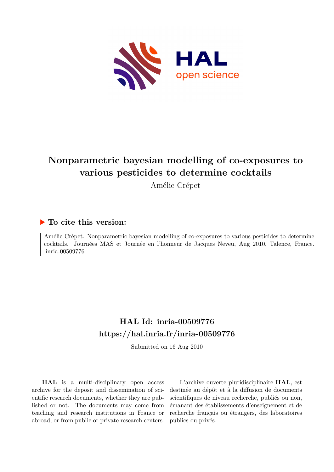

# **Nonparametric bayesian modelling of co-exposures to various pesticides to determine cocktails**

Amélie Crépet

### **To cite this version:**

Amélie Crépet. Nonparametric bayesian modelling of co-exposures to various pesticides to determine cocktails. Journées MAS et Journée en l'honneur de Jacques Neveu, Aug 2010, Talence, France. inria-00509776

## **HAL Id: inria-00509776 <https://hal.inria.fr/inria-00509776>**

Submitted on 16 Aug 2010

**HAL** is a multi-disciplinary open access archive for the deposit and dissemination of scientific research documents, whether they are published or not. The documents may come from teaching and research institutions in France or abroad, or from public or private research centers.

L'archive ouverte pluridisciplinaire **HAL**, est destinée au dépôt et à la diffusion de documents scientifiques de niveau recherche, publiés ou non, émanant des établissements d'enseignement et de recherche français ou étrangers, des laboratoires publics ou privés.